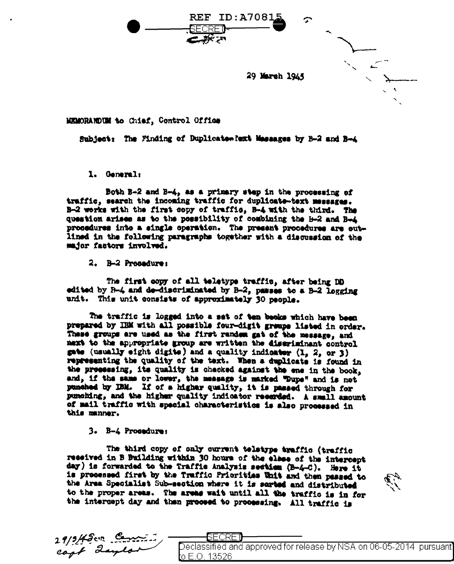29 Marsh 1945

σ

MEMORANDUM to Chief, Control Office

Subject: The Finding of Duplicate what Messages by B-2 and B-4

**REF ID:A7081** 

SECRET

1. General:

Both B-2 and B-4, as a primary step in the processing of traffic, search the incoming traffic for duplicate-text messages. B-2 works with the first copy of traffic, B-4 with the third. The question arises as to the possibility of combining the H-2 and B-4 prosedures into a single operation. The present procedures are outlined in the following paragraphs together with a discussion of the major factors involved.

2. B-2 Procedure:

The first copy of all teletype traffic, after being DD edited by B-4 and de-discriminated by B-2, passes to a B-2 logging unit. This unit consists of approximately 30 neonle.

The traffic is logged into a set of ten becks which have been prepared by IBM with all possible four-digit groups listed in order. These groups are used as the first random gat of the message, and mext to the appropriate group are written the discriminant control mate (usually eight digite) and a quality indicater (1, 2, or 3) representing the quality of the text. When a duplicate is found in the presessing, its quality is chacked against the ene in the book. and, if the same or lower, the measage is marked "Dupe" and is not punched by IBM. If of a higher quality, it is passed through for punching, and the higher quality indicator recerded. A small amount of mail traffic with special characteristics is also processed in this manner.

3. B-4 Prosedure:

The third copy of only current teletype traffic (traffic received in B Building within 30 hours of the clear of the intercept day) is forwarded to the Traffic Analysis section (B-4-C). Here it is processed first by the Truffic Priorities Unit and then passed to the Area Specialist Sub-section where it is sorted and distributed to the proper areas. The areas wait until all the traffic is in for the intercept day and then proceed to proceesing. All traffic is



| $19/5/45$ cin Cometing |                                                                     |  |
|------------------------|---------------------------------------------------------------------|--|
| cant daylor            | Declassified and approved for release by NSA on 06-05-2014 pursuant |  |
|                        | to E.O. 13526                                                       |  |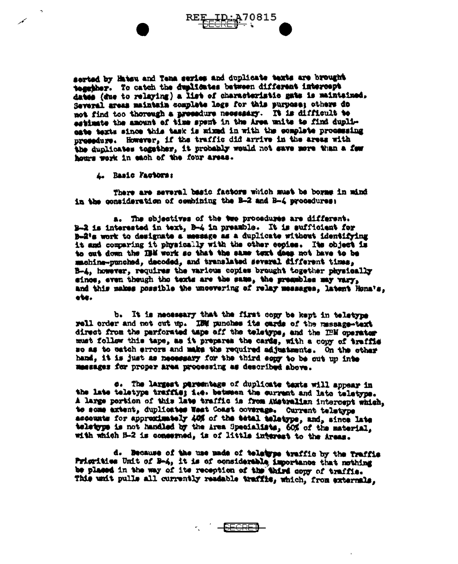serted by Hatsu and Tena series and duplicate texts are brought toggther. To catch the duplicates between different intercept dates (due to relaying) a list of characteristic gate is maintained. Several areas maintain complete logs for this purpose; others do not find too thorough a prosedure necessary. It is difficult to astimate the amount of time spent in the Area units to find duplieate texts since this task is wixed in with the complete processing prosedure. However, if the traffic did arrive in the areas with the dunlicates togsther, it probably would not save more than a fow homes wark in each of the four areas.

4. Basic Factors:

There are several basic factors which must be borng in mind in the consideration of combining the B-2 and B-4 procedures:

a. The objectives of the two procedures are different. B-2 is interested in text. B-4 in preamble. It is sufficient for B-2's work to designate a measage as a duplicate without identifying it and comparing it physically with the other copies. Its object is to out down the IBM work so that the same text does not have to be machine-punched, decoded, and translated several different times, B-4, however, requires the various copies brought together physically since, even though the texts are the same, the pressbles may vary, and this makes possible the uncovering of relay messages, latent Hona's. obe.

b. It is necessary that the first copy be kept in teletype rell order and not cut up. IBM punches its cards of the massage-text direct from the parforated tape off the teletype, and the IBM operator must follow this tape, as it prepares the cards, with a copy of traffic so as to eatch errors and make the required adjustments. On the other hand, it is just as necessary for the third sopy to be out up inte massages for proper area processing as described above.

c. The largest persentage of duplicate texts will appear in the late teletype traffie; i.e. between the current and late teletype. A large portion of this late traffic is from Australian intercept which. to some axtent, duplicates West Coast coverage. Current teletype assemnts for appreximately 40% of the tetal teletype, and, since late teletype is not handled by the Area Specialists, 60% of the material. with which B-2 is conserned, is of little interest to the Areas.

d. Because of the use made of teletype traffic by the Traffic Prigrities Unit of B-4, it is of considerable importance that nothing be placed in the way of its reception of the third copy of traffic. This writ pulls all currently readable traffits, which, from externals.